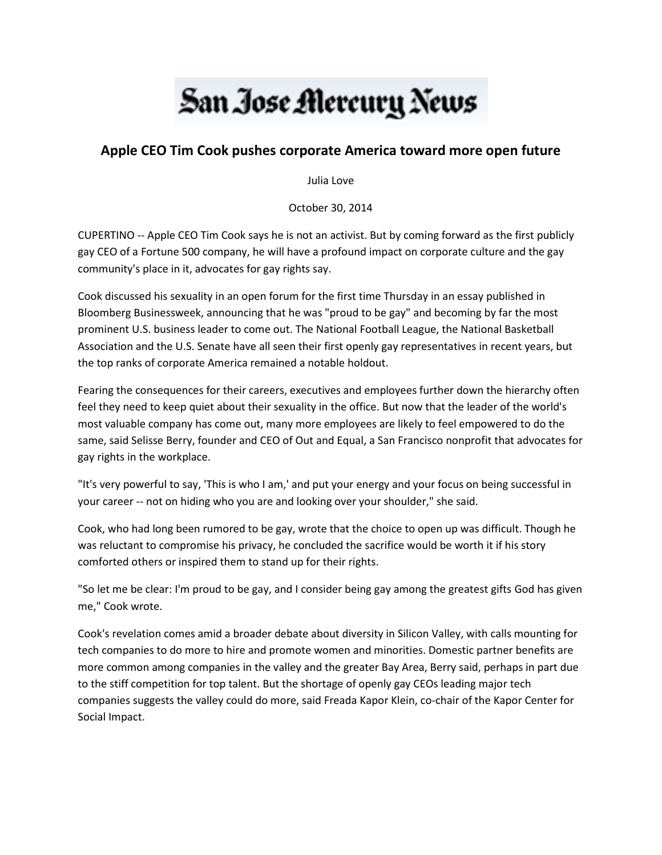## San Jose Mercury News

## **Apple CEO Tim Cook pushes corporate America toward more open future**

Julia Love

October 30, 2014

CUPERTINO -- Apple CEO Tim Cook says he is not an activist. But by coming forward as the first publicly gay CEO of a Fortune 500 company, he will have a profound impact on corporate culture and the gay community's place in it, advocates for gay rights say.

Cook discussed his sexuality in an open forum for the first time Thursday in an essay published in Bloomberg Businessweek, announcing that he was "proud to be gay" and becoming by far the most prominent U.S. business leader to come out. The National Football League, the National Basketball Association and the U.S. Senate have all seen their first openly gay representatives in recent years, but the top ranks of corporate America remained a notable holdout.

Fearing the consequences for their careers, executives and employees further down the hierarchy often feel they need to keep quiet about their sexuality in the office. But now that the leader of the world's most valuable company has come out, many more employees are likely to feel empowered to do the same, said Selisse Berry, founder and CEO of Out and Equal, a San Francisco nonprofit that advocates for gay rights in the workplace.

"It's very powerful to say, 'This is who I am,' and put your energy and your focus on being successful in your career -- not on hiding who you are and looking over your shoulder," she said.

Cook, who had long been rumored to be gay, wrote that the choice to open up was difficult. Though he was reluctant to compromise his privacy, he concluded the sacrifice would be worth it if his story comforted others or inspired them to stand up for their rights.

"So let me be clear: I'm proud to be gay, and I consider being gay among the greatest gifts God has given me," Cook wrote.

Cook's revelation comes amid a broader debate about diversity in Silicon Valley, with calls mounting for tech companies to do more to hire and promote women and minorities. Domestic partner benefits are more common among companies in the valley and the greater Bay Area, Berry said, perhaps in part due to the stiff competition for top talent. But the shortage of openly gay CEOs leading major tech companies suggests the valley could do more, said Freada Kapor Klein, co-chair of the Kapor Center for Social Impact.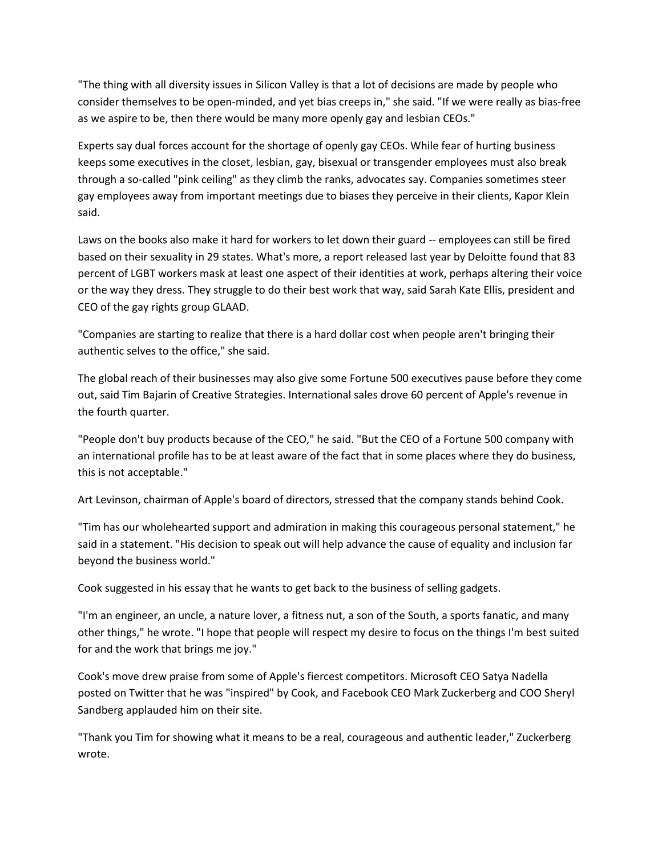"The thing with all diversity issues in Silicon Valley is that a lot of decisions are made by people who consider themselves to be open-minded, and yet bias creeps in," she said. "If we were really as bias-free as we aspire to be, then there would be many more openly gay and lesbian CEOs."

Experts say dual forces account for the shortage of openly gay CEOs. While fear of hurting business keeps some executives in the closet, lesbian, gay, bisexual or transgender employees must also break through a so-called "pink ceiling" as they climb the ranks, advocates say. Companies sometimes steer gay employees away from important meetings due to biases they perceive in their clients, Kapor Klein said.

Laws on the books also make it hard for workers to let down their guard -- employees can still be fired based on their sexuality in 29 states. What's more, a report released last year by Deloitte found that 83 percent of LGBT workers mask at least one aspect of their identities at work, perhaps altering their voice or the way they dress. They struggle to do their best work that way, said Sarah Kate Ellis, president and CEO of the gay rights group GLAAD.

"Companies are starting to realize that there is a hard dollar cost when people aren't bringing their authentic selves to the office," she said.

The global reach of their businesses may also give some Fortune 500 executives pause before they come out, said Tim Bajarin of Creative Strategies. International sales drove 60 percent of Apple's revenue in the fourth quarter.

"People don't buy products because of the CEO," he said. "But the CEO of a Fortune 500 company with an international profile has to be at least aware of the fact that in some places where they do business, this is not acceptable."

Art Levinson, chairman of Apple's board of directors, stressed that the company stands behind Cook.

"Tim has our wholehearted support and admiration in making this courageous personal statement," he said in a statement. "His decision to speak out will help advance the cause of equality and inclusion far beyond the business world."

Cook suggested in his essay that he wants to get back to the business of selling gadgets.

"I'm an engineer, an uncle, a nature lover, a fitness nut, a son of the South, a sports fanatic, and many other things," he wrote. "I hope that people will respect my desire to focus on the things I'm best suited for and the work that brings me joy."

Cook's move drew praise from some of Apple's fiercest competitors. Microsoft CEO Satya Nadella posted on Twitter that he was "inspired" by Cook, and Facebook CEO Mark Zuckerberg and COO Sheryl Sandberg applauded him on their site.

"Thank you Tim for showing what it means to be a real, courageous and authentic leader," Zuckerberg wrote.